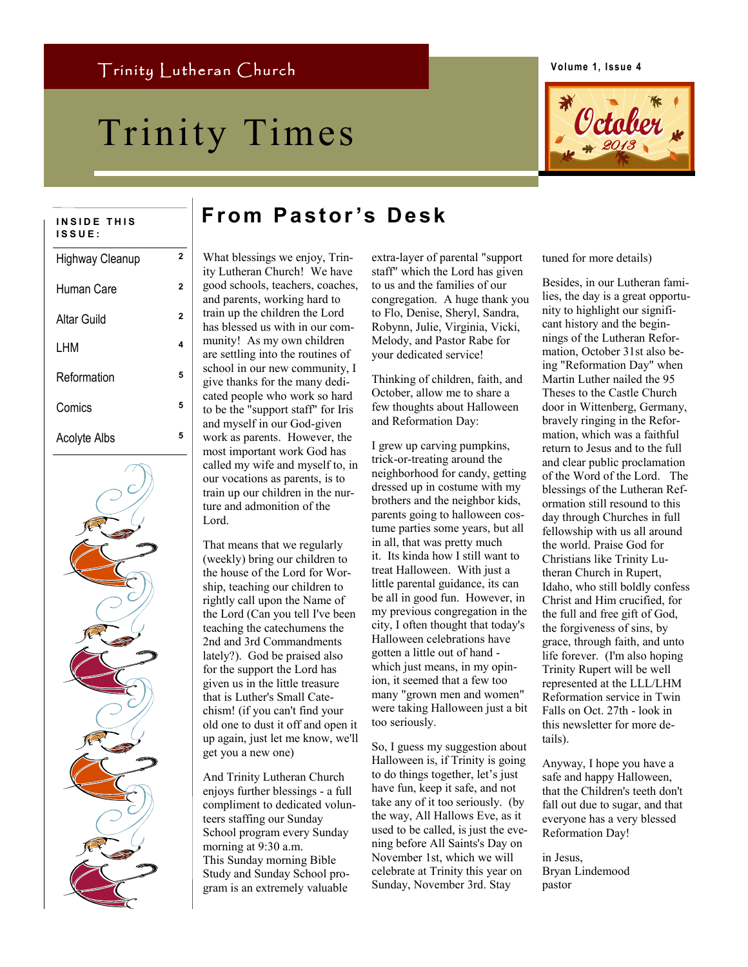# Trinity Times Coduer



**Volume 1, Issue 4**

| INSIDE THIS<br>ISSUE: |   |
|-----------------------|---|
| Highway Cleanup       | 2 |
| Human Care            | 2 |
| <b>Altar Guild</b>    | 2 |
| LHM                   | 4 |
| Reformation           | 5 |
| Comics                | 5 |
| <b>Acolyte Albs</b>   | 5 |
|                       |   |

# **I N S I D E T H I S From Pastor 's Desk**

What blessings we enjoy, Trinity Lutheran Church! We have good schools, teachers, coaches, and parents, working hard to train up the children the Lord has blessed us with in our community! As my own children are settling into the routines of school in our new community, I give thanks for the many dedicated people who work so hard to be the "support staff" for Iris and myself in our God-given work as parents. However, the most important work God has called my wife and myself to, in our vocations as parents, is to train up our children in the nurture and admonition of the Lord.

That means that we regularly (weekly) bring our children to the house of the Lord for Worship, teaching our children to rightly call upon the Name of the Lord (Can you tell I've been teaching the catechumens the 2nd and 3rd Commandments lately?). God be praised also for the support the Lord has given us in the little treasure that is Luther's Small Catechism! (if you can't find your old one to dust it off and open it up again, just let me know, we'll get you a new one)

And Trinity Lutheran Church enjoys further blessings - a full compliment to dedicated volunteers staffing our Sunday School program every Sunday morning at 9:30 a.m. This Sunday morning Bible Study and Sunday School program is an extremely valuable

extra-layer of parental "support staff" which the Lord has given to us and the families of our congregation. A huge thank you to Flo, Denise, Sheryl, Sandra, Robynn, Julie, Virginia, Vicki, Melody, and Pastor Rabe for your dedicated service!

Thinking of children, faith, and October, allow me to share a few thoughts about Halloween and Reformation Day:

I grew up carving pumpkins, trick-or-treating around the neighborhood for candy, getting dressed up in costume with my brothers and the neighbor kids, parents going to halloween costume parties some years, but all in all, that was pretty much it. Its kinda how I still want to treat Halloween. With just a little parental guidance, its can be all in good fun. However, in my previous congregation in the city, I often thought that today's Halloween celebrations have gotten a little out of hand which just means, in my opinion, it seemed that a few too many "grown men and women" were taking Halloween just a bit too seriously.

So, I guess my suggestion about Halloween is, if Trinity is going to do things together, let's just have fun, keep it safe, and not take any of it too seriously. (by the way, All Hallows Eve, as it used to be called, is just the evening before All Saints's Day on November 1st, which we will celebrate at Trinity this year on Sunday, November 3rd. Stay

tuned for more details)

Besides, in our Lutheran families, the day is a great opportunity to highlight our significant history and the beginnings of the Lutheran Reformation, October 31st also being "Reformation Day" when Martin Luther nailed the 95 Theses to the Castle Church door in Wittenberg, Germany, bravely ringing in the Reformation, which was a faithful return to Jesus and to the full and clear public proclamation of the Word of the Lord. The blessings of the Lutheran Reformation still resound to this day through Churches in full fellowship with us all around the world. Praise God for Christians like Trinity Lutheran Church in Rupert, Idaho, who still boldly confess Christ and Him crucified, for the full and free gift of God, the forgiveness of sins, by grace, through faith, and unto life forever. (I'm also hoping Trinity Rupert will be well represented at the LLL/LHM Reformation service in Twin Falls on Oct. 27th - look in this newsletter for more details).

Anyway, I hope you have a safe and happy Halloween, that the Children's teeth don't fall out due to sugar, and that everyone has a very blessed Reformation Day!

in Jesus, Bryan Lindemood pastor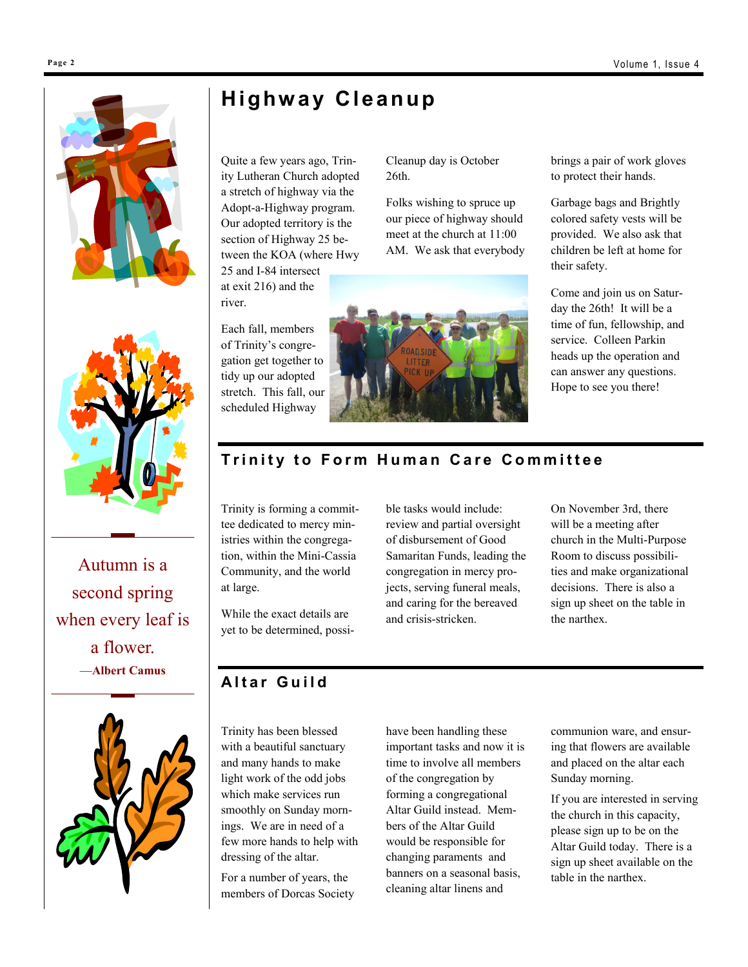



[Autumn is a](http://www.brainyquote.com/quotes/quotes/a/albertcamu107639.html)  [second spring](http://www.brainyquote.com/quotes/quotes/a/albertcamu107639.html)  [when every leaf is](http://www.brainyquote.com/quotes/quotes/a/albertcamu107639.html)  [a flower.](http://www.brainyquote.com/quotes/quotes/a/albertcamu107639.html) —**[Albert Camus](http://www.brainyquote.com/quotes/authors/a/albert_camus.html)**



## **Highw ay Cleanup**

Quite a few years ago, Trinity Lutheran Church adopted a stretch of highway via the Adopt-a-Highway program. Our adopted territory is the section of Highway 25 between the KOA (where Hwy

25 and I-84 intersect at exit 216) and the river.

Each fall, members of Trinity's congregation get together to tidy up our adopted stretch. This fall, our scheduled Highway

Cleanup day is October 26th.

Folks wishing to spruce up our piece of highway should meet at the church at 11:00 AM. We ask that everybody



brings a pair of work gloves to protect their hands.

Garbage bags and Brightly colored safety vests will be provided. We also ask that children be left at home for their safety.

Come and join us on Saturday the 26th! It will be a time of fun, fellowship, and service. Colleen Parkin heads up the operation and can answer any questions. Hope to see you there!

#### **Trinity to Form Human Care Committee**

Trinity is forming a committee dedicated to mercy ministries within the congregation, within the Mini-Cassia Community, and the world at large.

While the exact details are yet to be determined, possible tasks would include: review and partial oversight of disbursement of Good Samaritan Funds, leading the congregation in mercy projects, serving funeral meals, and caring for the bereaved and crisis-stricken.

On November 3rd, there will be a meeting after church in the Multi-Purpose Room to discuss possibilities and make organizational decisions. There is also a sign up sheet on the table in the narthex.

#### **A l t a r G u i l d**

Trinity has been blessed with a beautiful sanctuary and many hands to make light work of the odd jobs which make services run smoothly on Sunday mornings. We are in need of a few more hands to help with dressing of the altar.

For a number of years, the members of Dorcas Society have been handling these important tasks and now it is time to involve all members of the congregation by forming a congregational Altar Guild instead. Members of the Altar Guild would be responsible for changing paraments and banners on a seasonal basis, cleaning altar linens and

communion ware, and ensuring that flowers are available and placed on the altar each Sunday morning.

If you are interested in serving the church in this capacity, please sign up to be on the Altar Guild today. There is a sign up sheet available on the table in the narthex.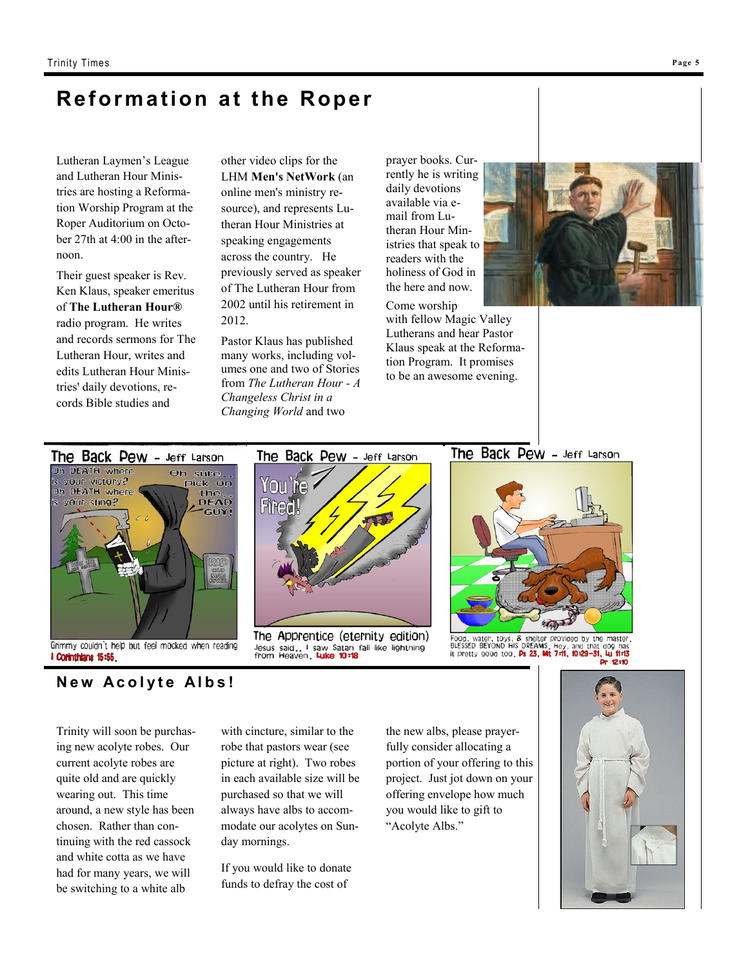## **Reformation at the Roper**

Lutheran Laymen's League and Lutheran Hour Ministries are hosting a Reformation Worship Program at the Roper Auditorium on October 27th at 4:00 in the afternoon.

Their guest speaker is Rev. Ken Klaus, speaker emeritus of **The Lutheran Hour®** radio program. He writes and records sermons for The Lutheran Hour, writes and edits Lutheran Hour Ministries' daily devotions, records Bible studies and

other video clips for the LHM **Men's NetWork** (an online men's ministry resource), and represents Lutheran Hour Ministries at speaking engagements across the country. He previously served as speaker of The Lutheran Hour from 2002 until his retirement in 2012.

Pastor Klaus has published many works, including volumes one and two of Stories from *The Lutheran Hour - A Changeless Christ in a Changing World* and two

prayer books. Currently he is writing daily devotions available via email from Lutheran Hour Ministries that speak to readers with the holiness of God in the here and now.

Come worship with fellow Magic Valley Lutherans and hear Pastor Klaus speak at the Reformation Program. It promises to be an awesome evening.







The Back Pew - Jeff Larson

The Apprentice (eternity edition) Jesus said... I saw Satan fall like lightning<br>from Heaven, Luke 10:18

The Back Pew - Jeff Larson



Food, water, toys, & shelter provided by the master,<br>BLESSED BEYOND HIS DREAMS, Hey, and that dog has<br>it pretty good too, P: 23, Mt 7:11, 10:29-31, Lu 11:13

**New Acolyte Albs!** 

Trinity will soon be purchasing new acolyte robes. Our current acolyte robes are quite old and are quickly wearing out. This time around, a new style has been chosen. Rather than continuing with the red cassock and white cotta as we have had for many years, we will be switching to a white alb

with cincture, similar to the robe that pastors wear (see picture at right). Two robes in each available size will be purchased so that we will always have albs to accommodate our acolytes on Sunday mornings.

If you would like to donate funds to defray the cost of

the new albs, please prayerfully consider allocating a portion of your offering to this project. Just jot down on your offering envelope how much you would like to gift to "Acolyte Albs."